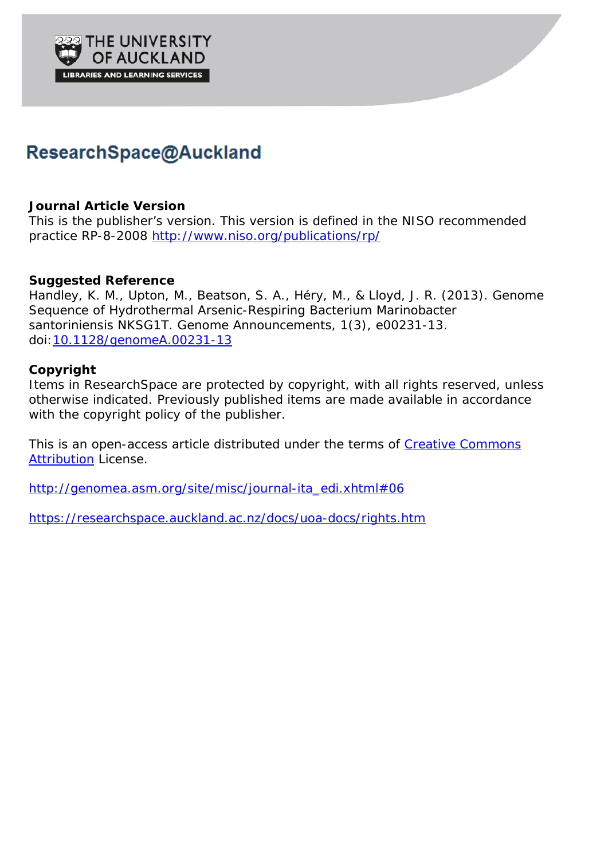

# ResearchSpace@Auckland

## **Journal Article Version**

This is the publisher's version. This version is defined in the NISO recommended practice RP-8-2008 <http://www.niso.org/publications/rp/>

## **Suggested Reference**

Handley, K. M., Upton, M., Beatson, S. A., Héry, M., & Lloyd, J. R. (2013). Genome Sequence of Hydrothermal Arsenic-Respiring Bacterium *Marinobacter santoriniensis* NKSG1T*. Genome Announcements, 1*(3), e00231-13. doi[:10.1128/genomeA.00231-13](http://dx.doi.org/10.1128/genomeA.00231-13)

## **Copyright**

Items in ResearchSpace are protected by copyright, with all rights reserved, unless otherwise indicated. Previously published items are made available in accordance with the copyright policy of the publisher.

This is an open-access article distributed under the terms of [Creative Commons](http://creativecommons.org/licenses/by/3.0/)  [Attribution](http://creativecommons.org/licenses/by/3.0/) License.

[http://genomea.asm.org/site/misc/journal-ita\\_edi.xhtml#06](http://genomea.asm.org/site/misc/journal-ita_edi.xhtml#06)

<https://researchspace.auckland.ac.nz/docs/uoa-docs/rights.htm>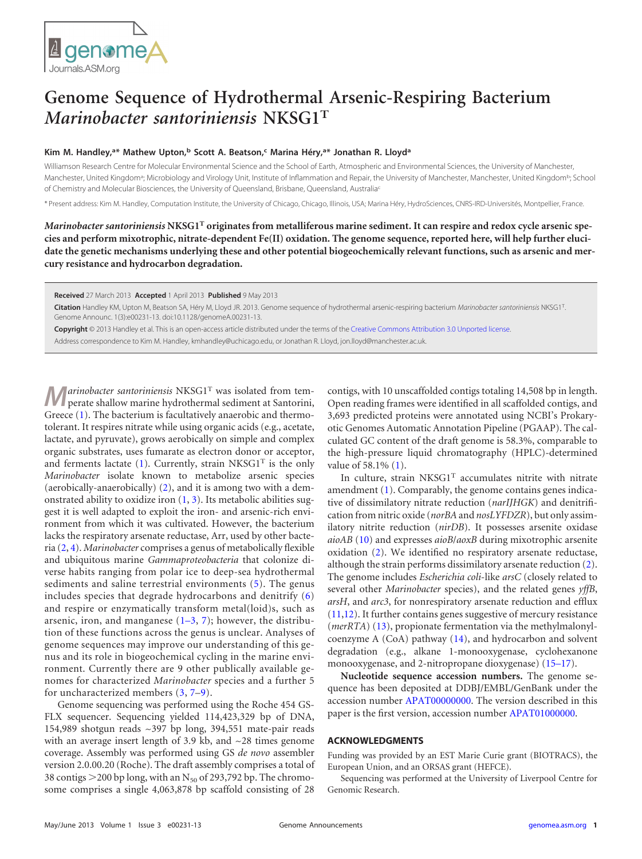

## **Genome Sequence of Hydrothermal Arsenic-Respiring Bacterium** *Marinobacter santoriniensis* **NKSG1<sup>T</sup>**

### **Kim M. Handley, a\* Mathew Upton, <sup>b</sup> Scott A. Beatson, <sup>c</sup> Marina Héry, a\* Jonathan R. Lloyda**

Williamson Research Centre for Molecular Environmental Science and the School of Earth, Atmospheric and Environmental Sciences, the University of Manchester, Manchester, United Kingdom<sup>a</sup>; Microbiology and Virology Unit, Institute of Inflammation and Repair, the University of Manchester, Manchester, United Kingdom<sup>b</sup>; School of Chemistry and Molecular Biosciences, the University of Queensland, Brisbane, Queensland, Australiac

\* Present address: Kim M. Handley, Computation Institute, the University of Chicago, Chicago, Illinois, USA; Marina Héry, HydroSciences, CNRS-IRD-Universités, Montpellier, France.

*Marinobacter santoriniensis* **NKSG1<sup>T</sup> originates from metalliferous marine sediment. It can respire and redox cycle arsenic species and perform mixotrophic, nitrate-dependent Fe(II) oxidation. The genome sequence, reported here, will help further elucidate the genetic mechanisms underlying these and other potential biogeochemically relevant functions, such as arsenic and mercury resistance and hydrocarbon degradation.**

**Received** 27 March 2013 **Accepted** 1 April 2013 **Published** 9 May 2013

**Citation** Handley KM, Upton M, Beatson SA, Héry M, Lloyd JR. 2013. Genome sequence of hydrothermal arsenic-respiring bacterium *Marinobacter santoriniensis* NKSG1T. Genome Announc. 1(3):e00231-13. doi:10.1128/genomeA.00231-13.

**Copyright** © 2013 Handley et al. This is an open-access article distributed under the terms of the [Creative Commons Attribution 3.0 Unported license.](http://creativecommons.org/licenses/by/3.0/)

Address correspondence to Kim M. Handley, kmhandley@uchicago.edu, or Jonathan R. Lloyd, jon.lloyd@manchester.ac.uk.

**M***arinobacter santoriniensis* NKSG1<sup>T</sup> was isolated from temperate shallow marine hydrothermal sediment at Santorini, Greece [\(1\)](#page-2-0). The bacterium is facultatively anaerobic and thermotolerant. It respires nitrate while using organic acids (e.g., acetate, lactate, and pyruvate), grows aerobically on simple and complex organic substrates, uses fumarate as electron donor or acceptor, and ferments lactate  $(1)$ . Currently, strain NKSG1<sup>T</sup> is the only *Marinobacter* isolate known to metabolize arsenic species (aerobically-anaerobically) [\(2\)](#page-2-1), and it is among two with a demonstrated ability to oxidize iron  $(1, 3)$  $(1, 3)$  $(1, 3)$ . Its metabolic abilities suggest it is well adapted to exploit the iron- and arsenic-rich environment from which it was cultivated. However, the bacterium lacks the respiratory arsenate reductase, Arr, used by other bacteria [\(2,](#page-2-1) [4\)](#page-2-3). *Marinobacter* comprises a genus of metabolically flexible and ubiquitous marine *Gammaproteobacteria* that colonize diverse habits ranging from polar ice to deep-sea hydrothermal sediments and saline terrestrial environments [\(5\)](#page-2-4). The genus includes species that degrade hydrocarbons and denitrify [\(6\)](#page-2-5) and respire or enzymatically transform metal(loid)s, such as arsenic, iron, and manganese  $(1-3, 7)$  $(1-3, 7)$  $(1-3, 7)$  $(1-3, 7)$  $(1-3, 7)$ ; however, the distribution of these functions across the genus is unclear. Analyses of genome sequences may improve our understanding of this genus and its role in biogeochemical cycling in the marine environment. Currently there are 9 other publically available genomes for characterized *Marinobacter* species and a further 5 for uncharacterized members [\(3,](#page-2-2) [7–](#page-2-6)[9\)](#page-2-7).

Genome sequencing was performed using the Roche 454 GS-FLX sequencer. Sequencing yielded 114,423,329 bp of DNA, 154,989 shotgun reads ~397 bp long, 394,551 mate-pair reads with an average insert length of 3.9 kb, and  $\sim$  28 times genome coverage. Assembly was performed using GS *de novo* assembler version 2.0.00.20 (Roche). The draft assembly comprises a total of 38 contigs  $>$  200 bp long, with an N<sub>50</sub> of 293,792 bp. The chromosome comprises a single 4,063,878 bp scaffold consisting of 28

contigs, with 10 unscaffolded contigs totaling 14,508 bp in length. Open reading frames were identified in all scaffolded contigs, and 3,693 predicted proteins were annotated using NCBI's Prokaryotic Genomes Automatic Annotation Pipeline (PGAAP). The calculated GC content of the draft genome is 58.3%, comparable to the high-pressure liquid chromatography (HPLC)-determined value of 58.1% [\(1\)](#page-2-0).

In culture, strain NKSG1<sup>T</sup> accumulates nitrite with nitrate amendment [\(1\)](#page-2-0). Comparably, the genome contains genes indicative of dissimilatory nitrate reduction (*narIJHGK*) and denitrification from nitric oxide (*norBA* and *nosLYFDZR*), but only assimilatory nitrite reduction (*nirDB*). It possesses arsenite oxidase *aioAB* [\(10\)](#page-2-8) and expresses *aioB*/*aoxB* during mixotrophic arsenite oxidation [\(2\)](#page-2-1). We identified no respiratory arsenate reductase, although the strain performs dissimilatory arsenate reduction [\(2\)](#page-2-1). The genome includes *Escherichia coli*-like *arsC* (closely related to several other *Marinobacter* species), and the related genes *yffB*, *arsH*, and *arc3*, for nonrespiratory arsenate reduction and efflux [\(11](#page-2-9)[,12\)](#page-2-10). It further contains genes suggestive of mercury resistance (*merRTA*) [\(13\)](#page-2-11), propionate fermentation via the methylmalonylcoenzyme A (CoA) pathway [\(14\)](#page-2-12), and hydrocarbon and solvent degradation (e.g., alkane 1-monooxygenase, cyclohexanone monooxygenase, and 2-nitropropane dioxygenase) [\(15](#page-2-13)[–](#page-2-14)[17\)](#page-2-15).

**Nucleotide sequence accession numbers.** The genome sequence has been deposited at DDBJ/EMBL/GenBank under the accession number [APAT00000000.](http://www.ncbi.nlm.nih.gov/nuccore?term=APAT00000000) The version described in this paper is the first version, accession number [APAT01000000.](http://www.ncbi.nlm.nih.gov/nuccore?term=APAT01000000)

#### **ACKNOWLEDGMENTS**

Funding was provided by an EST Marie Curie grant (BIOTRACS), the European Union, and an ORSAS grant (HEFCE).

Sequencing was performed at the University of Liverpool Centre for Genomic Research.